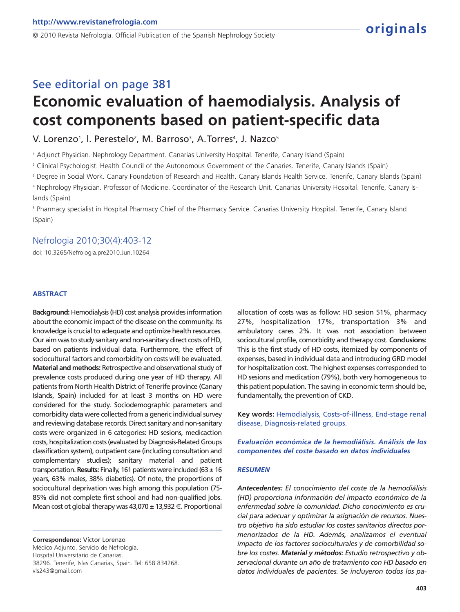© 2010 Revista Nefrología. Official Publication of the Spanish Nephrology Society

# See editorial on page 381 **Economic evaluation of haemodialysis. Analysis of cost components based on patient-specific data**

V. Lorenzo<sup>1</sup>, l. Perestelo<sup>2</sup>, M. Barroso<sup>3</sup>, A.Torres<sup>4</sup>, J. Nazco<sup>5</sup>

<sup>1</sup> Adjunct Physician. Nephrology Department. Canarias University Hospital. Tenerife, Canary Island (Spain)

<sup>2</sup> Clinical Psychologist. Health Council of the Autonomous Government of the Canaries. Tenerife, Canary Islands (Spain)

<sup>3</sup> Degree in Social Work. Canary Foundation of Research and Health. Canary Islands Health Service. Tenerife, Canary Islands (Spain)

<sup>4</sup> Nephrology Physician. Professor of Medicine. Coordinator of the Research Unit. Canarias University Hospital. Tenerife, Canary Is-

lands (Spain)

<sup>5</sup> Pharmacy specialist in Hospital Pharmacy Chief of the Pharmacy Service. Canarias University Hospital. Tenerife, Canary Island (Spain)

## Nefrologia 2010;30(4):403-12

doi: 10.3265/Nefrologia.pre2010.Jun.10264

#### **ABSTRACT**

**Background:** Hemodialysis (HD) cost analysis provides information about the economic impact of the disease on the community. Its knowledge is crucial to adequate and optimize health resources. Our aim was to study sanitary and non-sanitary direct costs of HD, based on patients individual data. Furthermore, the effect of sociocultural factors and comorbidity on costs will be evaluated. **Material and methods:** Retrospective and observational study of prevalence costs produced during one year of HD therapy. All patients from North Health District of Tenerife province (Canary Islands, Spain) included for at least 3 months on HD were considered for the study. Sociodemographic parameters and comorbidity data were collected from a generic individual survey and reviewing database records. Direct sanitary and non-sanitary costs were organized in 6 categories: HD sesions, medicaction costs, hospitalization costs (evaluated by Diagnosis-Related Groups classification system), outpatient care (including consultation and complementary studies); sanitary material and patient transportation. **Results:** Finally, 161 patients were included (63 ± 16 years, 63% males, 38% diabetics). Of note, the proportions of sociocultural deprivation was high among this population (75- 85% did not complete first school and had non-qualified jobs. Mean cost ot global therapy was  $43,070 \pm 13,932 \in$ . Proportional

**Correspondence:** Víctor Lorenzo Médico Adjunto. Servicio de Nefrología. Hospital Universitario de Canarias. 38296. Tenerife, Islas Canarias, Spain. Tel: 658 834268. vls243@gmail.com

allocation of costs was as follow: HD sesion 51%, pharmacy 27%, hospitalization 17%, transportation 3% and ambulatory cares 2%. It was not association between sociocultural profile, comorbidity and therapy cost. **Conclusions:** This is the first study of HD costs, itemized by components of expenses, based in individual data and introducing GRD model for hospitalization cost. The highest expenses corresponded to HD sesions and medication (79%), both very homogeneous to this patient population. The saving in economic term should be, fundamentally, the prevention of CKD.

**Key words:** Hemodialysis, Costs-of-illness, End-stage renal disease, Diagnosis-related groups.

*Evaluación económica de la hemodiálisis. Análisis de los componentes del coste basado en datos individuales*

#### *RESUMEN*

*Antecedentes: El conocimiento del coste de la hemodiálisis (HD) proporciona información del impacto económico de la enfermedad sobre la comunidad. Dicho conocimiento es crucial para adecuar y optimizar la asignación de recursos. Nuestro objetivo ha sido estudiar los costes sanitarios directos pormenorizados de la HD. Además, analizamos el eventual impacto de los factores socioculturales y de comorbilidad sobre los costes. Material y métodos: Estudio retrospectivo y observacional durante un año de tratamiento con HD basado en datos individuales de pacientes. Se incluyeron todos los pa-*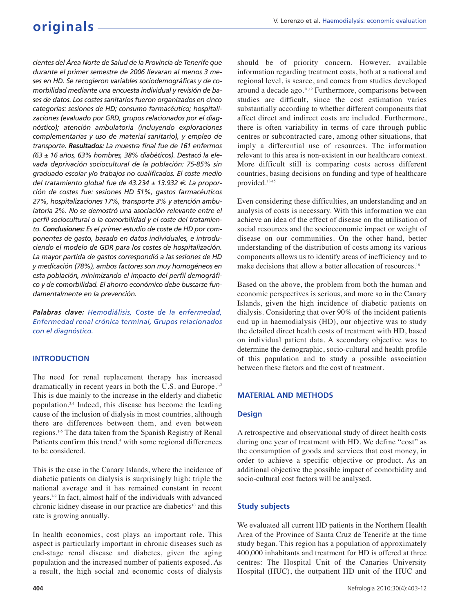*cientes del Área Norte de Salud de la Provincia de Tenerife que durante el primer semestre de 2006 llevaran al menos 3 meses en HD. Se recogieron variables sociodemográficas y de comorbilidad mediante una encuesta individual y revisión de bases de datos. Los costes sanitarios fueron organizados en cinco categorías: sesiones de HD; consumo farmacéutico; hospitalizaciones (evaluado por GRD, grupos relacionados por el diagnóstico); atención ambulatoria (incluyendo exploraciones complementarias y uso de material sanitario), y empleo de transporte. Resultados: La muestra final fue de 161 enfermos (63 ± 16 años, 63% hombres, 38% diabéticos). Destacó la elevada deprivación sociocultural de la población: 75-85% sin graduado escolar y/o trabajos no cualificados. El coste medio del tratamiento global fue de 43.234 ± 13.932 €. La proporción de costes fue: sesiones HD 51%, gastos farmacéuticos 27%, hospitalizaciones 17%, transporte 3% y atención ambulatoria 2%. No se demostró una asociación relevante entre el perfil sociocultural o la comorbilidad y el coste del tratamiento. Conclusiones: Es el primer estudio de coste de HD por componentes de gasto, basado en datos individuales, e introduciendo el modelo de GDR para los costes de hospitalización. La mayor partida de gastos correspondió a las sesiones de HD y medicación (78%), ambos factores son muy homogéneos en esta población, minimizando el impacto del perfil demográfico y de comorbilidad. El ahorro económico debe buscarse fundamentalmente en la prevención.*

*Palabras clave: Hemodiálisis, Coste de la enfermedad, Enfermedad renal crónica terminal, Grupos relacionados con el diagnóstico.*

## **INTRODUCTION**

The need for renal replacement therapy has increased dramatically in recent years in both the U.S. and Europe.<sup>1,2</sup> This is due mainly to the increase in the elderly and diabetic population.3,4 Indeed, this disease has become the leading cause of the inclusion of dialysis in most countries, although there are differences between them, and even between regions.1-5 The data taken from the Spanish Registry of Renal Patients confirm this trend,<sup>4</sup> with some regional differences to be considered.

This is the case in the Canary Islands, where the incidence of diabetic patients on dialysis is surprisingly high: triple the national average and it has remained constant in recent years.7-9 In fact, almost half of the individuals with advanced chronic kidney disease in our practice are diabetics<sup>10</sup> and this rate is growing annually.

In health economics, cost plays an important role. This aspect is particularly important in chronic diseases such as end-stage renal disease and diabetes, given the aging population and the increased number of patients exposed. As a result, the high social and economic costs of dialysis should be of priority concern. However, available information regarding treatment costs, both at a national and regional level, is scarce, and comes from studies developed around a decade ago.11,12 Furthermore, comparisons between studies are difficult, since the cost estimation varies substantially according to whether different components that affect direct and indirect costs are included. Furthermore, there is often variability in terms of care through public centres or subcontracted care, among other situations, that imply a differential use of resources. The information relevant to this area is non-existent in our healthcare context. More difficult still is comparing costs across different countries, basing decisions on funding and type of healthcare provided.13-15

Even considering these difficulties, an understanding and an analysis of costs is necessary. With this information we can achieve an idea of the effect of disease on the utilisation of social resources and the socioeconomic impact or weight of disease on our communities. On the other hand, better understanding of the distribution of costs among its various components allows us to identify areas of inefficiency and to make decisions that allow a better allocation of resources.<sup>16</sup>

Based on the above, the problem from both the human and economic perspectives is serious, and more so in the Canary Islands, given the high incidence of diabetic patients on dialysis. Considering that over 90% of the incident patients end up in haemodialysis (HD), our objective was to study the detailed direct health costs of treatment with HD, based on individual patient data. A secondary objective was to determine the demographic, socio-cultural and health profile of this population and to study a possible association between these factors and the cost of treatment.

## **MATERIAL AND METHODS**

## **Design**

A retrospective and observational study of direct health costs during one year of treatment with HD. We define "cost" as the consumption of goods and services that cost money, in order to achieve a specific objective or product. As an additional objective the possible impact of comorbidity and socio-cultural cost factors will be analysed.

## **Study subjects**

We evaluated all current HD patients in the Northern Health Area of the Province of Santa Cruz de Tenerife at the time study began. This region has a population of approximately 400,000 inhabitants and treatment for HD is offered at three centres: The Hospital Unit of the Canaries University Hospital (HUC), the outpatient HD unit of the HUC and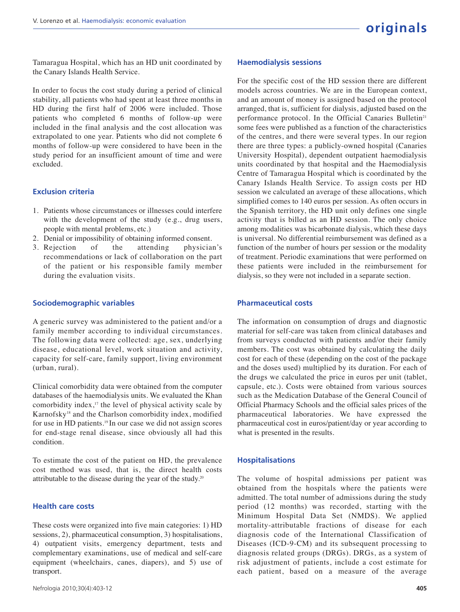Tamaragua Hospital, which has an HD unit coordinated by the Canary Islands Health Service.

In order to focus the cost study during a period of clinical stability, all patients who had spent at least three months in HD during the first half of 2006 were included. Those patients who completed 6 months of follow-up were included in the final analysis and the cost allocation was extrapolated to one year. Patients who did not complete 6 months of follow-up were considered to have been in the study period for an insufficient amount of time and were excluded.

#### **Exclusion criteria**

- 1. Patients whose circumstances or illnesses could interfere with the development of the study (e.g., drug users, people with mental problems, etc.)
- 2. Denial or impossibility of obtaining informed consent.
- 3. Rejection of the attending physician's recommendations or lack of collaboration on the part of the patient or his responsible family member during the evaluation visits.

#### **Sociodemographic variables**

A generic survey was administered to the patient and/or a family member according to individual circumstances. The following data were collected: age, sex, underlying disease, educational level, work situation and activity, capacity for self-care, family support, living environment (urban, rural).

Clinical comorbidity data were obtained from the computer databases of the haemodialysis units. We evaluated the Khan comorbidity index, $17$  the level of physical activity scale by Karnofsky<sup>18</sup> and the Charlson comorbidity index, modified for use in HD patients.19 In our case we did not assign scores for end-stage renal disease, since obviously all had this condition.

To estimate the cost of the patient on HD, the prevalence cost method was used, that is, the direct health costs attributable to the disease during the year of the study.<sup>20</sup>

#### **Health care costs**

These costs were organized into five main categories: 1) HD sessions, 2), pharmaceutical consumption, 3) hospitalisations, 4) outpatient visits, emergency department, tests and complementary examinations, use of medical and self-care equipment (wheelchairs, canes, diapers), and 5) use of transport.

#### **Haemodialysis sessions**

For the specific cost of the HD session there are different models across countries. We are in the European context, and an amount of money is assigned based on the protocol arranged, that is, sufficient for dialysis, adjusted based on the performance protocol. In the Official Canaries Bulletin<sup>21</sup> some fees were published as a function of the characteristics of the centres, and there were several types. In our region there are three types: a publicly-owned hospital (Canaries University Hospital), dependent outpatient haemodialysis units coordinated by that hospital and the Haemodialysis Centre of Tamaragua Hospital which is coordinated by the Canary Islands Health Service. To assign costs per HD session we calculated an average of these allocations, which simplified comes to 140 euros per session. As often occurs in the Spanish territory, the HD unit only defines one single activity that is billed as an HD session. The only choice among modalities was bicarbonate dialysis, which these days is universal. No differential reimbursement was defined as a function of the number of hours per session or the modality of treatment. Periodic examinations that were performed on these patients were included in the reimbursement for dialysis, so they were not included in a separate section.

#### **Pharmaceutical costs**

The information on consumption of drugs and diagnostic material for self-care was taken from clinical databases and from surveys conducted with patients and/or their family members. The cost was obtained by calculating the daily cost for each of these (depending on the cost of the package and the doses used) multiplied by its duration. For each of the drugs we calculated the price in euros per unit (tablet, capsule, etc.). Costs were obtained from various sources such as the Medication Database of the General Council of Official Pharmacy Schools and the official sales prices of the pharmaceutical laboratories. We have expressed the pharmaceutical cost in euros/patient/day or year according to what is presented in the results.

#### **Hospitalisations**

The volume of hospital admissions per patient was obtained from the hospitals where the patients were admitted. The total number of admissions during the study period (12 months) was recorded, starting with the Minimum Hospital Data Set (NMDS). We applied mortality-attributable fractions of disease for each diagnosis code of the International Classification of Diseases (ICD-9-CM) and its subsequent processing to diagnosis related groups (DRGs). DRGs, as a system of risk adjustment of patients, include a cost estimate for each patient, based on a measure of the average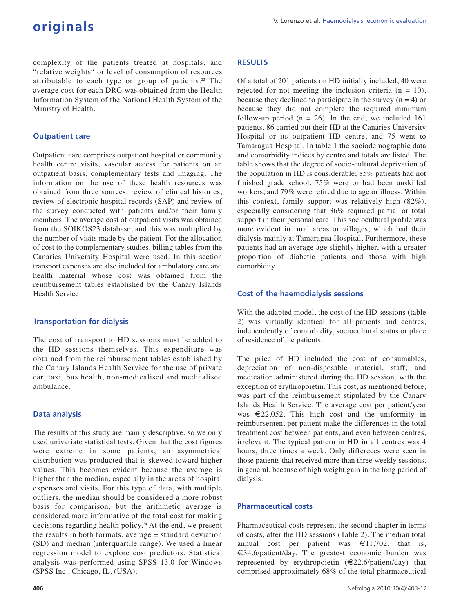complexity of the patients treated at hospitals, and "relative weights" or level of consumption of resources attributable to each type or group of patients.<sup>22</sup> The average cost for each DRG was obtained from the Health Information System of the National Health System of the Ministry of Health.

### **Outpatient care**

Outpatient care comprises outpatient hospital or community health centre visits, vascular access for patients on an outpatient basis, complementary tests and imaging. The information on the use of these health resources was obtained from three sources: review of clinical histories, review of electronic hospital records (SAP) and review of the survey conducted with patients and/or their family members. The average cost of outpatient visits was obtained from the SOIKOS23 database, and this was multiplied by the number of visits made by the patient. For the allocation of cost to the complementary studies, billing tables from the Canaries University Hospital were used. In this section transport expenses are also included for ambulatory care and health material whose cost was obtained from the reimbursement tables established by the Canary Islands Health Service.

#### **Transportation for dialysis**

The cost of transport to HD sessions must be added to the HD sessions themselves. This expenditure was obtained from the reimbursement tables established by the Canary Islands Health Service for the use of private car, taxi, bus health, non-medicalised and medicalised ambulance.

#### **Data analysis**

The results of this study are mainly descriptive, so we only used univariate statistical tests. Given that the cost figures were extreme in some patients, an asymmetrical distribution was producted that is skewed toward higher values. This becomes evident because the average is higher than the median, especially in the areas of hospital expenses and visits. For this type of data, with multiple outliers, the median should be considered a more robust basis for comparison, but the arithmetic average is considered more informative of the total cost for making decisions regarding health policy.<sup>24</sup> At the end, we present the results in both formats, average  $\pm$  standard deviation (SD) and median (interquartile range). We used a linear regression model to explore cost predictors. Statistical analysis was performed using SPSS 13.0 for Windows (SPSS Inc., Chicago, IL, (USA).

#### **RESULTS**

Of a total of 201 patients on HD initially included, 40 were rejected for not meeting the inclusion criteria  $(n = 10)$ , because they declined to participate in the survey  $(n = 4)$  or because they did not complete the required minimum follow-up period  $(n = 26)$ . In the end, we included 161 patients. 86 carried out their HD at the Canaries University Hospital or its outpatient HD centre, and 75 went to Tamaragua Hospital. In table 1 the sociodemographic data and comorbidity indices by centre and totals are listed. The table shows that the degree of socio-cultural deprivation of the population in HD is considerable; 85% patients had not finished grade school, 75% were or had been unskilled workers, and 79% were retired due to age or illness. Within this context, family support was relatively high (82%), especially considering that 36% required partial or total support in their personal care. This sociocultural profile was more evident in rural areas or villages, which had their dialysis mainly at Tamaragua Hospital. Furthermore, these patients had an average age slightly higher, with a greater proportion of diabetic patients and those with high comorbidity.

#### **Cost of the haemodialysis sessions**

With the adapted model, the cost of the HD sessions (table 2) was virtually identical for all patients and centres, independently of comorbidity, sociocultural status or place of residence of the patients.

The price of HD included the cost of consumables, depreciation of non-disposable material, staff, and medication administered during the HD session, with the exception of erythropoietin. This cost, as mentioned before, was part of the reimbursement stipulated by the Canary Islands Health Service. The average cost per patient/year was €22,052. This high cost and the uniformity in reimbursement per patient make the differences in the total treatment cost between patients, and even between centres, irrelevant. The typical pattern in HD in all centres was 4 hours, three times a week. Only differeces were seen in those patients that received more than three weekly sessions, in general, because of high weight gain in the long period of dialysis.

## **Pharmaceutical costs**

Pharmaceutical costs represent the second chapter in terms of costs, after the HD sessions (Table 2). The median total annual cost per patient was  $\epsilon$ 11,702, that is, €34.6/patient/day. The greatest economic burden was represented by erythropoietin (€22.6/patient/day) that comprised approximately 68% of the total pharmaceutical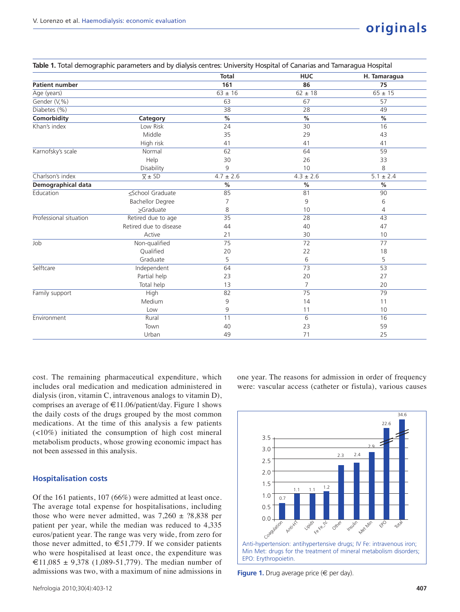|                        |                         | <b>Total</b>  | <b>HUC</b>      | H. Tamaragua  |
|------------------------|-------------------------|---------------|-----------------|---------------|
| <b>Patient number</b>  |                         | 161           | 86              | 75            |
| Age (years)            |                         | $63 \pm 16$   | $62 \pm 18$     | $65 \pm 15$   |
| Gender (V,%)           |                         | 63            | 67              | 57            |
| Diabetes (%)           |                         | 38            | 28              | 49            |
| <b>Comorbidity</b>     | Category                | $\frac{9}{6}$ | $\frac{9}{6}$   | $\%$          |
| Khan's index           | Low Risk                | 24            | 30              | 16            |
|                        | Middle                  | 35            | 29              | 43            |
|                        | High risk               | 41            | 41              | 41            |
| Karnofsky's scale      | Normal                  | 62            | 64              | 59            |
|                        | Help                    | 30            | 26              | 33            |
|                        | Disability              | 9             | 10              | 8             |
| Charlson's index       | $\overline{X} \pm SD$   | $4.7 \pm 2.6$ | $4.3 \pm 2.6$   | $5.1 \pm 2.4$ |
| Demographical data     |                         | $\%$          | $\%$            | %             |
| Education              | ≤School Graduate        | 85            | 81              | 90            |
|                        | <b>Bachellor Degree</b> | 7             | 9               | 6             |
|                        | $\geq$ Graduate         | 8             | 10              | 4             |
| Professional situation | Retired due to age      | 35            | 28              | 43            |
|                        | Retired due to disease  | 44            | 40              | 47            |
|                        | Active                  | 21            | 30              | 10            |
| Job                    | Non-qualified           | 75            | $\overline{72}$ | 77            |
|                        | Qualified               | 20            | 22              | 18            |
|                        | Graduate                | 5             | 6               | 5             |
| Selftcare              | Independent             | 64            | 73              | 53            |
|                        | Partial help            | 23            | 20              | 27            |
|                        | Total help              | 13            | 7               | 20            |
| Family support         | High                    | 82            | 75              | 79            |
|                        | Medium                  | 9             | 14              | 11            |
|                        | Low                     | 9             | 11              | 10            |
| Environment            | Rural                   | 11            | 6               | 16            |
|                        | Town                    | 40            | 23              | 59            |
|                        | Urban                   | 49            | 71              | 25            |

**Table 1.** Total demographic parameters and by dialysis centres: University Hospital of Canarias and Tamaragua Hospital

cost. The remaining pharmaceutical expenditure, which includes oral medication and medication administered in dialysis (iron, vitamin C, intravenous analogs to vitamin D), comprises an average of  $\text{\textsterling}11.06\text{/pattern/day}$ . Figure 1 shows the daily costs of the drugs grouped by the most common medications. At the time of this analysis a few patients (<10%) initiated the consumption of high cost mineral metabolism products, whose growing economic impact has not been assessed in this analysis.

#### **Hospitalisation costs**

Of the 161 patients, 107 (66%) were admitted at least once. The average total expense for hospitalisations, including those who were never admitted, was  $7,260 \pm ?8,838$  per patient per year, while the median was reduced to 4,335 euros/patient year. The range was very wide, from zero for those never admitted, to  $\epsilon$ 51,779. If we consider patients who were hospitalised at least once, the expenditure was €11,085 ± 9,378 (1,089-51,779). The median number of admissions was two, with a maximum of nine admissions in one year. The reasons for admission in order of frequency were: vascular access (catheter or fistula), various causes



**Figure 1.** Drug average price (€ per day).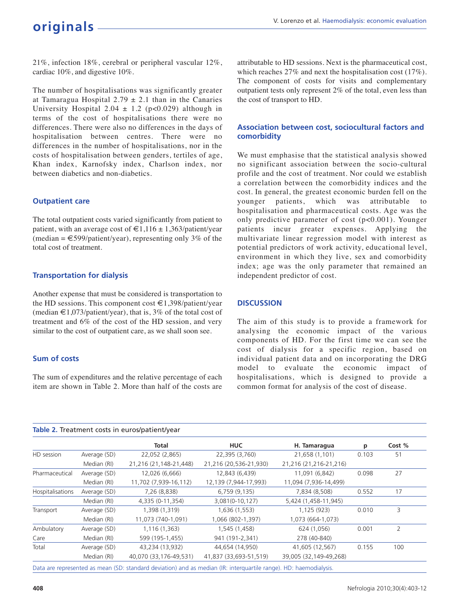21%, infection 18%, cerebral or peripheral vascular 12%, cardiac 10%, and digestive 10%.

The number of hospitalisations was significantly greater at Tamaragua Hospital  $2.79 \pm 2.1$  than in the Canaries University Hospital 2.04  $\pm$  1.2 (p<0.029) although in terms of the cost of hospitalisations there were no differences. There were also no differences in the days of hospitalisation between centres. There were no differences in the number of hospitalisations, nor in the costs of hospitalisation between genders, tertiles of age, Khan index, Karnofsky index, Charlson index, nor between diabetics and non-diabetics.

#### **Outpatient care**

The total outpatient costs varied significantly from patient to patient, with an average cost of  $\text{€1,116} \pm 1,363\text{/patient/year}$  $(median = \text{\textsterling}599/patient/year)$ , representing only 3% of the total cost of treatment.

## **Transportation for dialysis**

Another expense that must be considered is transportation to the HD sessions. This component cost  $\in$  1,398/patient/year (median €1,073/patient/year), that is, 3% of the total cost of treatment and 6% of the cost of the HD session, and very similar to the cost of outpatient care, as we shall soon see.

## **Sum of costs**

The sum of expenditures and the relative percentage of each item are shown in Table 2. More than half of the costs are

attributable to HD sessions. Next is the pharmaceutical cost, which reaches 27% and next the hospitalisation cost (17%). The component of costs for visits and complementary outpatient tests only represent 2% of the total, even less than the cost of transport to HD.

## **Association between cost, sociocultural factors and comorbidity**

We must emphasise that the statistical analysis showed no significant association between the socio-cultural profile and the cost of treatment. Nor could we establish a correlation between the comorbidity indices and the cost. In general, the greatest economic burden fell on the younger patients, which was attributable to hospitalisation and pharmaceutical costs. Age was the only predictive parameter of cost (p<0.001). Younger patients incur greater expenses. Applying the multivariate linear regression model with interest as potential predictors of work activity, educational level, environment in which they live, sex and comorbidity index; age was the only parameter that remained an independent predictor of cost.

## **DISCUSSION**

The aim of this study is to provide a framework for analysing the economic impact of the various components of HD. For the first time we can see the cost of dialysis for a specific region, based on individual patient data and on incorporating the DRG model to evaluate the economic impact of hospitalisations, which is designed to provide a common format for analysis of the cost of disease.

|                  |              | Total                  | <b>HUC</b>             | H. Tamaragua           | р     | Cost % |
|------------------|--------------|------------------------|------------------------|------------------------|-------|--------|
| HD session       | Average (SD) | 22,052 (2,865)         | 22,395 (3,760)         | 21,658 (1,101)         | 0.103 | 51     |
|                  | Median (RI)  | 21,216 (21,148-21,448) | 21,216 (20,536-21,930) | 21,216 (21,216-21,216) |       |        |
| Pharmaceutical   | Average (SD) | 12,026 (6,666)         | 12,843 (6,439)         | 11,091 (6,842)         | 0.098 | 27     |
|                  | Median (RI)  | 11,702 (7,939-16,112)  | 12,139 (7,944-17,993)  | 11,094 (7,936-14,499)  |       |        |
| Hospitalisations | Average (SD) | 7,26 (8,838)           | 6,759 (9,135)          | 7,834 (8,508)          | 0.552 | 17     |
|                  | Median (RI)  | 4,335 (0-11,354)       | 3,081(0-10,127)        | 5,424 (1,458-11,945)   |       |        |
| Transport        | Average (SD) | 1,398 (1,319)          | 1,636 (1,553)          | 1,125 (923)            | 0.010 | 3      |
|                  | Median (RI)  | 11,073 (740-1,091)     | 1,066 (802-1,397)      | 1,073 (664-1,073)      |       |        |
| Ambulatory       | Average (SD) | 1,116 (1,363)          | 1,545 (1,458)          | 624 (1,056)            | 0.001 | 2      |
| Care             | Median (RI)  | 599 (195-1,455)        | 941 (191-2,341)        | 278 (40-840)           |       |        |
| Total            | Average (SD) | 43,234 (13,932)        | 44,654 (14,950)        | 41,605 (12,567)        | 0.155 | 100    |
|                  | Median (RI)  | 40,070 (33,176-49,531) | 41,837 (33,693-51,519) | 39,005 (32,149-49,268) |       |        |

Data are represented as mean (SD: standard deviation) and as median (IR: interquartile range). HD: haemodialysis.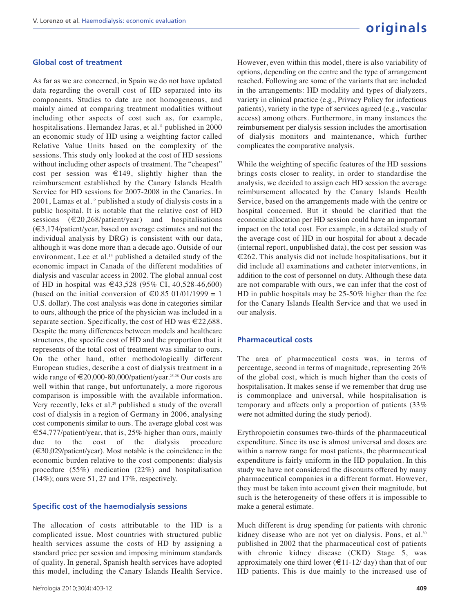#### **Global cost of treatment**

As far as we are concerned, in Spain we do not have updated data regarding the overall cost of HD separated into its components. Studies to date are not homogeneous, and mainly aimed at comparing treatment modalities without including other aspects of cost such as, for example, hospitalisations. Hernandez Jaras, et al.<sup>11</sup> published in 2000 an economic study of HD using a weighting factor called Relative Value Units based on the complexity of the sessions. This study only looked at the cost of HD sessions without including other aspects of treatment. The "cheapest" cost per session was  $\in$ 149, slightly higher than the reimbursement established by the Canary Islands Health Service for HD sessions for 2007-2008 in the Canaries. In  $2001$ , Lamas et al.<sup>12</sup> published a study of dialysis costs in a public hospital. It is notable that the relative cost of HD sessions  $(\text{\textlessless})$   $(20,268/\text{patient}/\text{year})$  and hospitalisations (€3,174/patient/year, based on average estimates and not the individual analysis by DRG) is consistent with our data, although it was done more than a decade ago. Outside of our environment, Lee et al.<sup>14</sup> published a detailed study of the economic impact in Canada of the different modalities of dialysis and vascular access in 2002. The global annual cost of HD in hospital was €43,528 (95% CI, 40,528-46,600) (based on the initial conversion of  $\text{\textsterling}0.85\ 01/01/1999 = 1$ U.S. dollar). The cost analysis was done in categories similar to ours, although the price of the physician was included in a separate section. Specifically, the cost of HD was  $\in 22,688$ . Despite the many differences between models and healthcare structures, the specific cost of HD and the proportion that it represents of the total cost of treatment was similar to ours. On the other hand, other methodologically different European studies, describe a cost of dialysis treatment in a wide range of €20,000-80,000/patient/year.25-28 Our costs are well within that range, but unfortunately, a more rigorous comparison is impossible with the available information. Very recently, Icks et al.<sup>29</sup> published a study of the overall cost of dialysis in a region of Germany in 2006, analysing cost components similar to ours. The average global cost was €54,777/patient/year, that is, 25% higher than ours, mainly due to the cost of the dialysis procedure (€30,029/patient/year). Most notable is the coincidence in the economic burden relative to the cost components: dialysis procedure (55%) medication (22%) and hospitalisation (14%); ours were 51, 27 and 17%, respectively.

#### **Specific cost of the haemodialysis sessions**

The allocation of costs attributable to the HD is a complicated issue. Most countries with structured public health services assume the costs of HD by assigning a standard price per session and imposing minimum standards of quality. In general, Spanish health services have adopted this model, including the Canary Islands Health Service. However, even within this model, there is also variability of options, depending on the centre and the type of arrangement reached. Following are some of the variants that are included in the arrangements: HD modality and types of dialyzers, variety in clinical practice (e.g., Privacy Policy for infectious patients), variety in the type of services agreed (e.g., vascular access) among others. Furthermore, in many instances the reimbursement per dialysis session includes the amortisation of dialysis monitors and maintenance, which further complicates the comparative analysis.

While the weighting of specific features of the HD sessions brings costs closer to reality, in order to standardise the analysis, we decided to assign each HD session the average reimbursement allocated by the Canary Islands Health Service, based on the arrangements made with the centre or hospital concerned. But it should be clarified that the economic allocation per HD session could have an important impact on the total cost. For example, in a detailed study of the average cost of HD in our hospital for about a decade (internal report, unpublished data), the cost per session was  $\epsilon$ 262. This analysis did not include hospitalisations, but it did include all examinations and catheter interventions, in addition to the cost of personnel on duty. Although these data are not comparable with ours, we can infer that the cost of HD in public hospitals may be 25-50% higher than the fee for the Canary Islands Health Service and that we used in our analysis.

#### **Pharmaceutical costs**

The area of pharmaceutical costs was, in terms of percentage, second in terms of magnitude, representing 26% of the global cost, which is much higher than the costs of hospitalisation. It makes sense if we remember that drug use is commonplace and universal, while hospitalisation is temporary and affects only a proportion of patients (33% were not admitted during the study period).

Erythropoietin consumes two-thirds of the pharmaceutical expenditure. Since its use is almost universal and doses are within a narrow range for most patients, the pharmaceutical expenditure is fairly uniform in the HD population. In this study we have not considered the discounts offered by many pharmaceutical companies in a different format. However, they must be taken into account given their magnitude, but such is the heterogeneity of these offers it is impossible to make a general estimate.

Much different is drug spending for patients with chronic kidney disease who are not yet on dialysis. Pons, et al.<sup>30</sup> published in 2002 that the pharmaceutical cost of patients with chronic kidney disease (CKD) Stage 5, was approximately one third lower ( $\in$ 11-12/day) than that of our HD patients. This is due mainly to the increased use of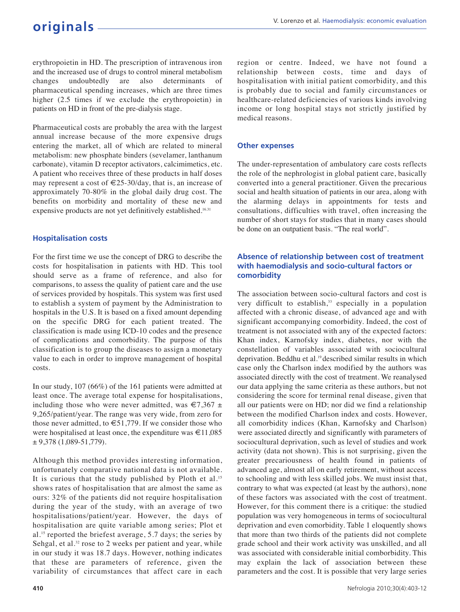erythropoietin in HD. The prescription of intravenous iron and the increased use of drugs to control mineral metabolism changes undoubtedly are also determinants pharmaceutical spending increases, which are three times higher (2.5 times if we exclude the erythropoietin) in patients on HD in front of the pre-dialysis stage.

Pharmaceutical costs are probably the area with the largest annual increase because of the more expensive drugs entering the market, all of which are related to mineral metabolism: new phosphate binders (sevelamer, lanthanum carbonate), vitamin D receptor activators, calcimimetics, etc. A patient who receives three of these products in half doses may represent a cost of  $\in 25-30$ /day, that is, an increase of approximately 70-80% in the global daily drug cost. The benefits on morbidity and mortality of these new and expensive products are not yet definitively established.<sup>16.31</sup>

## **Hospitalisation costs**

For the first time we use the concept of DRG to describe the costs for hospitalisation in patients with HD. This tool should serve as a frame of reference, and also for comparisons, to assess the quality of patient care and the use of services provided by hospitals. This system was first used to establish a system of payment by the Administration to hospitals in the U.S. It is based on a fixed amount depending on the specific DRG for each patient treated. The classification is made using ICD-10 codes and the presence of complications and comorbidity. The purpose of this classification is to group the diseases to assign a monetary value to each in order to improve management of hospital costs.

In our study, 107 (66%) of the 161 patients were admitted at least once. The average total expense for hospitalisations, including those who were never admitted, was  $\epsilon$ 7,367 ± 9,265/patient/year. The range was very wide, from zero for those never admitted, to  $\epsilon$ 51,779. If we consider those who were hospitalised at least once, the expenditure was €11,085  $± 9,378(1,089-51,779).$ 

Although this method provides interesting information, unfortunately comparative national data is not available. It is curious that the study published by Ploth et al.<sup>15</sup> shows rates of hospitalisation that are almost the same as ours: 32% of the patients did not require hospitalisation during the year of the study, with an average of two hospitalisations/patient/year. However, the days of hospitalisation are quite variable among series; Plot et al.<sup>15</sup> reported the briefest average, 5.7 days; the series by Sehgal, et al.<sup>32</sup> rose to 2 weeks per patient and year, while in our study it was 18.7 days. However, nothing indicates that these are parameters of reference, given the variability of circumstances that affect care in each

region or centre. Indeed, we have not found a relationship between costs, time and days of hospitalisation with initial patient comorbidity, and this is probably due to social and family circumstances or healthcare-related deficiencies of various kinds involving income or long hospital stays not strictly justified by medical reasons.

## **Other expenses**

The under-representation of ambulatory care costs reflects the role of the nephrologist in global patient care, basically converted into a general practitioner. Given the precarious social and health situation of patients in our area, along with the alarming delays in appointments for tests and consultations, difficulties with travel, often increasing the number of short stays for studies that in many cases should be done on an outpatient basis. "The real world".

## **Absence of relationship between cost of treatment with haemodialysis and socio-cultural factors or comorbidity**

The association between socio-cultural factors and cost is very difficult to establish,<sup>33</sup> especially in a population affected with a chronic disease, of advanced age and with significant accompanying comorbidity. Indeed, the cost of treatment is not associated with any of the expected factors: Khan index, Karnofsky index, diabetes, nor with the constellation of variables associated with sociocultural deprivation. Beddhu et al.19 described similar results in which case only the Charlson index modified by the authors was associated directly with the cost of treatment. We reanalysed our data applying the same criteria as these authors, but not considering the score for terminal renal disease, given that all our patients were on HD; nor did we find a relationship between the modified Charlson index and costs. However, all comorbidity indices (Khan, Karnofsky and Charlson) were associated directly and significantly with parameters of sociocultural deprivation, such as level of studies and work activity (data not shown). This is not surprising, given the greater precariousness of health found in patients of advanced age, almost all on early retirement, without access to schooling and with less skilled jobs. We must insist that, contrary to what was expected (at least by the authors), none of these factors was associated with the cost of treatment. However, for this comment there is a critique: the studied population was very homogeneous in terms of sociocultural deprivation and even comorbidity. Table 1 eloquently shows that more than two thirds of the patients did not complete grade school and their work activity was unskilled, and all was associated with considerable initial comborbidity. This may explain the lack of association between these parameters and the cost. It is possible that very large series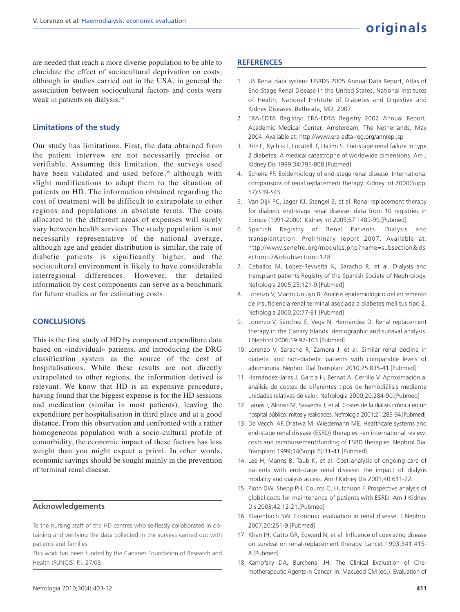are needed that reach a more diverse population to be able to elucidate the effect of sociocultural deprivation on costs; although in studies carried out in the USA, in general the association between sociocultural factors and costs were weak in patients on dialysis.<sup>14</sup>

#### **Limitations of the study**

Our study has limitations. First, the data obtained from the patient intervew are not necessarily precise or verifiable. Assuming this limitation, the surveys used have been validated and used before,<sup>35</sup> although with slight modifications to adapt them to the situation of patients on HD. The information obtained regarding the cost of treatment will be difficult to extrapolate to other regions and populations in absolute terms. The costs allocated to the different areas of expenses will surely vary between health services. The study population is not necessarily representative of the national average, although age and gender distribution is similar, the rate of diabetic patients is significantly higher, and the sociocultural environment is likely to have considerable interregional differences. However, the detailed information by cost components can serve as a benchmark for future studies or for estimating costs.

### **CONCLUSIONS**

This is the first study of HD by component expenditure data based on «individual» patients, and introducing the DRG classification system as the source of the cost of hospitalisations. While these results are not directly extrapolated to other regions, the information derived is relevant. We know that HD is an expensive procedure, having found that the biggest expense is for the HD sessions and medication (similar in most patients), leaving the expenditure per hospitalisation in third place and at a good distance. From this observation and confronted with a rather homogeneous population with a socio-cultural profile of comorbidity, the economic impact of these factors has less weight than you might expect a priori. In other words, economic savings should be sought mainly in the prevention of terminal renal disease.

#### **Acknowledgements**

To the nursing staff of the HD centres who selflessly collaborated in obtaining and verifying the data collected in the surveys carried out with patients and families.

This work has been funded by the Canaries Foundation of Research and Health (FUNCIS) P.I. 27/08

## **REFERENCES**

- 1. US Renal data system: USRDS 2005 Annual Data Report, Atlas of End-Stage Renal Disease in the United States, National Institutes of Health, National Institute of Diabetes and Digestive and Kidney Diseases, Bethesda, MD, 2007.
- 2. ERA-EDTA Registry: ERA-EDTA Registry 2002 Annual Report. Academic Medical Center, Amsterdam, The Netherlands, May 2004. Available at: http://www.era-edta-reg.org/annrep.jsp
- 3. Ritz E, Rychlik I, Locatelli F, Halimi S. End-stage renal failure in type 2 diabetes: A medical catastrophe of worldwide dimensions. Am J Kidney Dis 1999;34:795-808.[Pubmed]
- 4. Schena FP. Epidemiology of end-stage renal disease: International comparisons of renal replacement therapy. Kidney Int 2000(Suppl 57):S39-S45.
- 5. Van Dijk PC, Jager KJ, Stengel B, et al. Renal replacement therapy for diabetic end-stage renal disease: data from 10 registries in Europe (1991-2000). Kidney Int 2005;67:1489-99.[Pubmed]
- 6. Spanish Registry of Renal Patients. Dialysis and transplantation. Preliminary report 2007. Available at: http://www.senefro.org/modules.php?name=subsection&ids ection=7&idsubsection=128
- 7. Ceballos M, Lopez-Revuelta K, Saracho R, et al. Dialysis and transplant patients Registry of the Spanish Society of Nephrology. Nefrologia 2005;25:121-9.[Pubmed]
- 8. Lorenzo V, Martín Urcuyo B. Análisis epidemiológico del incremento de insuficiencia renal terminal asociada a diabetes mellitus tipo 2. Nefrologia 2000;20:77-81.[Pubmed]
- 9. Lorenzo V, Sánchez E, Vega N, Hernández D. Renal replacement therapy in the Canary Islands: demographic and survival analysis. J Nephrol 2006;19:97-103.[Pubmed]
- 10. Lorenzo V, Saracho R, Zamora J, et al. Similar renal decline in diabetic and non-diabetic patients with comparable levels of albuminuria. Nephrol Dial Transplant 2010;25:835-41.[Pubmed]
- 11. Hernández-Jaras J, García H, Bernat A, Cerrillo V. Aproximación al análisis de costes de diferentes tipos de hemodiálisis mediante unidades relativas de valor. Nefrologia 2000;20:284-90.[Pubmed]
- 12. Lamas J, Alonso M, Saavedra J, et al. Costes de la diálisis crónica en un hospital público: mitos y realidades. Nefrologia 2001;21:283-94.[Pubmed]
- 13. De Vecchi AF, Dratwa M, Wiedemann ME. Healthcare systems and end-stage renal disease (ESRD) therapies –an international review: costs and reimbursement/funding of ESRD therapies. Nephrol Dial Transplant 1999;14(Suppl 6):31-41.[Pubmed]
- 14. Lee H, Manns B, Taub K, et al. Cost-analysis of ongoing care of patients with end-stage renal disease: the impact of dialysis modality and dialysis access. Am J Kidney Dis 2001;40:611-22.
- 15. Ploth DW, Shepp PH, Counts C, Hutchison F. Prospective analysis of global costs for maintenance of patients with ESRD. Am J Kidney Dis 2003;42:12-21.[Pubmed]
- 16. Klarenbach SW. Economic evaluation in renal disease. J Nephrol 2007;20:251-9.[Pubmed]
- 17. Khan IH, Catto GR, Edward N, et al. Influence of coexisting disease on survival on renal-replacement therapy. Lancet 1993;341:415- 8.[Pubmed]
- 18. Karnofsky DA, Burchenal JH. The Clinical Evaluation of Chemotherapeutic Agents in Cancer. In: MacLeod CM (ed.). Evaluation of